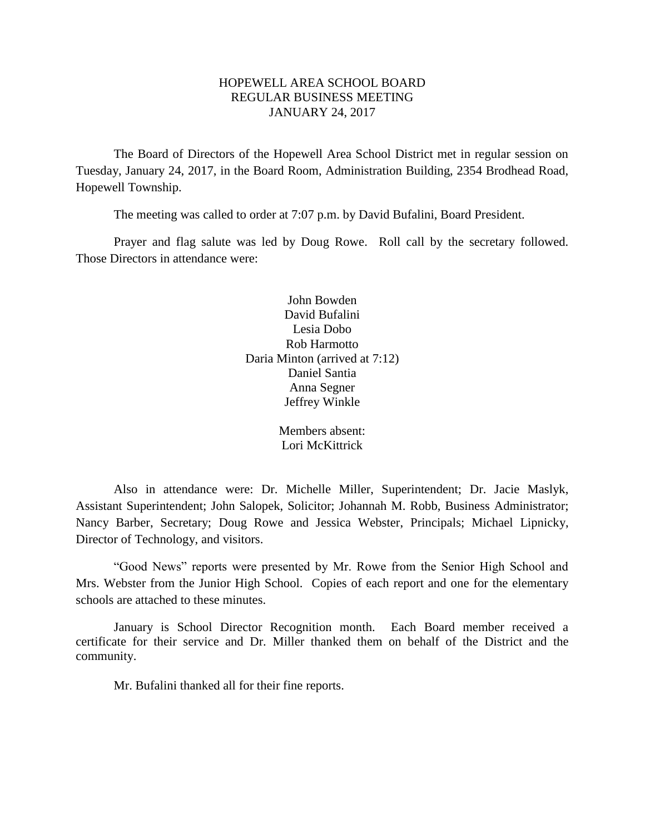# HOPEWELL AREA SCHOOL BOARD REGULAR BUSINESS MEETING JANUARY 24, 2017

The Board of Directors of the Hopewell Area School District met in regular session on Tuesday, January 24, 2017, in the Board Room, Administration Building, 2354 Brodhead Road, Hopewell Township.

The meeting was called to order at 7:07 p.m. by David Bufalini, Board President.

Prayer and flag salute was led by Doug Rowe. Roll call by the secretary followed. Those Directors in attendance were:

> John Bowden David Bufalini Lesia Dobo Rob Harmotto Daria Minton (arrived at 7:12) Daniel Santia Anna Segner Jeffrey Winkle

> > Members absent: Lori McKittrick

Also in attendance were: Dr. Michelle Miller, Superintendent; Dr. Jacie Maslyk, Assistant Superintendent; John Salopek, Solicitor; Johannah M. Robb, Business Administrator; Nancy Barber, Secretary; Doug Rowe and Jessica Webster, Principals; Michael Lipnicky, Director of Technology, and visitors.

"Good News" reports were presented by Mr. Rowe from the Senior High School and Mrs. Webster from the Junior High School. Copies of each report and one for the elementary schools are attached to these minutes.

January is School Director Recognition month. Each Board member received a certificate for their service and Dr. Miller thanked them on behalf of the District and the community.

Mr. Bufalini thanked all for their fine reports.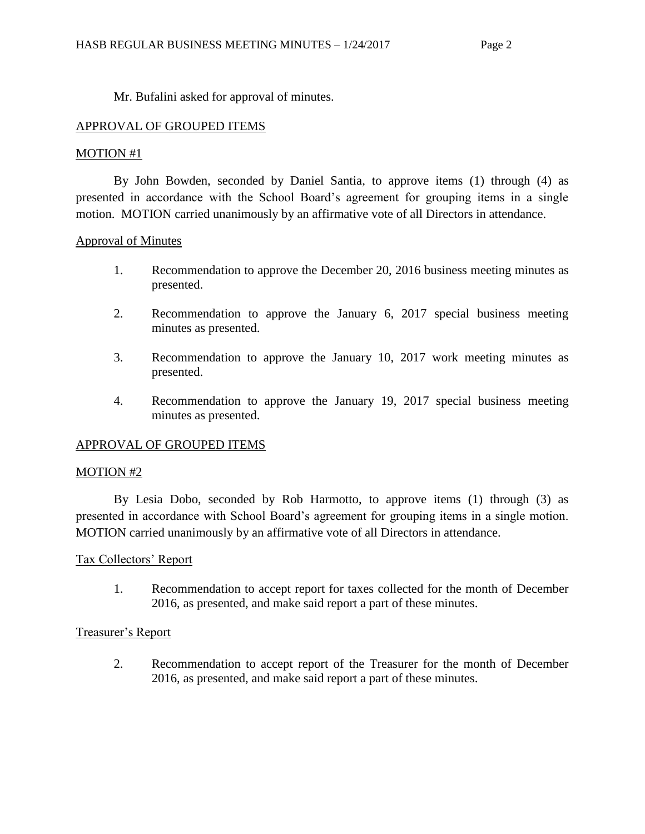Mr. Bufalini asked for approval of minutes.

# APPROVAL OF GROUPED ITEMS

# MOTION #1

By John Bowden, seconded by Daniel Santia, to approve items (1) through (4) as presented in accordance with the School Board's agreement for grouping items in a single motion. MOTION carried unanimously by an affirmative vote of all Directors in attendance.

# Approval of Minutes

- 1. Recommendation to approve the December 20, 2016 business meeting minutes as presented.
- 2. Recommendation to approve the January 6, 2017 special business meeting minutes as presented.
- 3. Recommendation to approve the January 10, 2017 work meeting minutes as presented.
- 4. Recommendation to approve the January 19, 2017 special business meeting minutes as presented.

# APPROVAL OF GROUPED ITEMS

# MOTION #2

By Lesia Dobo, seconded by Rob Harmotto, to approve items (1) through (3) as presented in accordance with School Board's agreement for grouping items in a single motion. MOTION carried unanimously by an affirmative vote of all Directors in attendance.

# Tax Collectors' Report

1. Recommendation to accept report for taxes collected for the month of December 2016, as presented, and make said report a part of these minutes.

# Treasurer's Report

2. Recommendation to accept report of the Treasurer for the month of December 2016, as presented, and make said report a part of these minutes.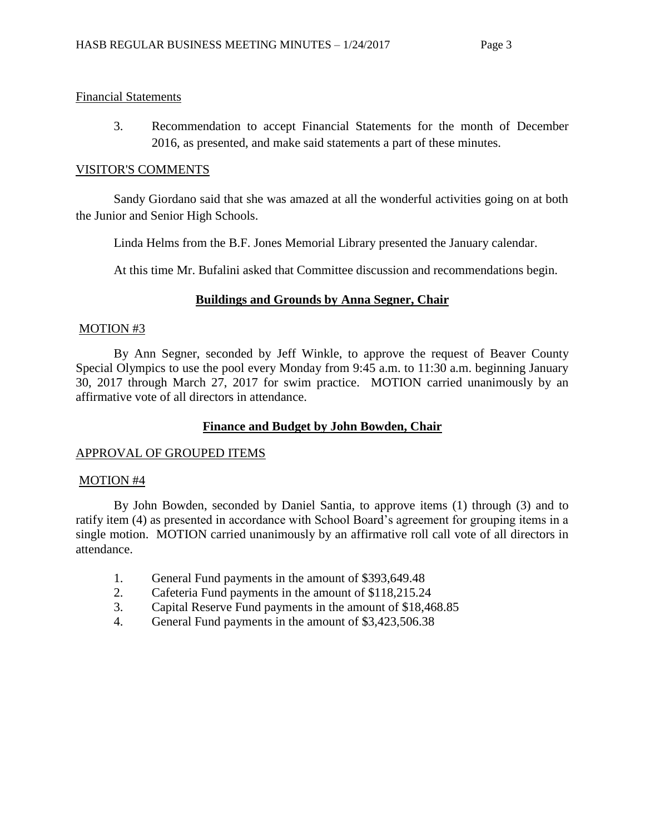### Financial Statements

3. Recommendation to accept Financial Statements for the month of December 2016, as presented, and make said statements a part of these minutes.

### VISITOR'S COMMENTS

Sandy Giordano said that she was amazed at all the wonderful activities going on at both the Junior and Senior High Schools.

Linda Helms from the B.F. Jones Memorial Library presented the January calendar.

At this time Mr. Bufalini asked that Committee discussion and recommendations begin.

# **Buildings and Grounds by Anna Segner, Chair**

### MOTION #3

By Ann Segner, seconded by Jeff Winkle, to approve the request of Beaver County Special Olympics to use the pool every Monday from 9:45 a.m. to 11:30 a.m. beginning January 30, 2017 through March 27, 2017 for swim practice. MOTION carried unanimously by an affirmative vote of all directors in attendance.

# **Finance and Budget by John Bowden, Chair**

# APPROVAL OF GROUPED ITEMS

### MOTION #4

By John Bowden, seconded by Daniel Santia, to approve items (1) through (3) and to ratify item (4) as presented in accordance with School Board's agreement for grouping items in a single motion. MOTION carried unanimously by an affirmative roll call vote of all directors in attendance.

- 1. General Fund payments in the amount of \$393,649.48
- 2. Cafeteria Fund payments in the amount of \$118,215.24
- 3. Capital Reserve Fund payments in the amount of \$18,468.85
- 4. General Fund payments in the amount of \$3,423,506.38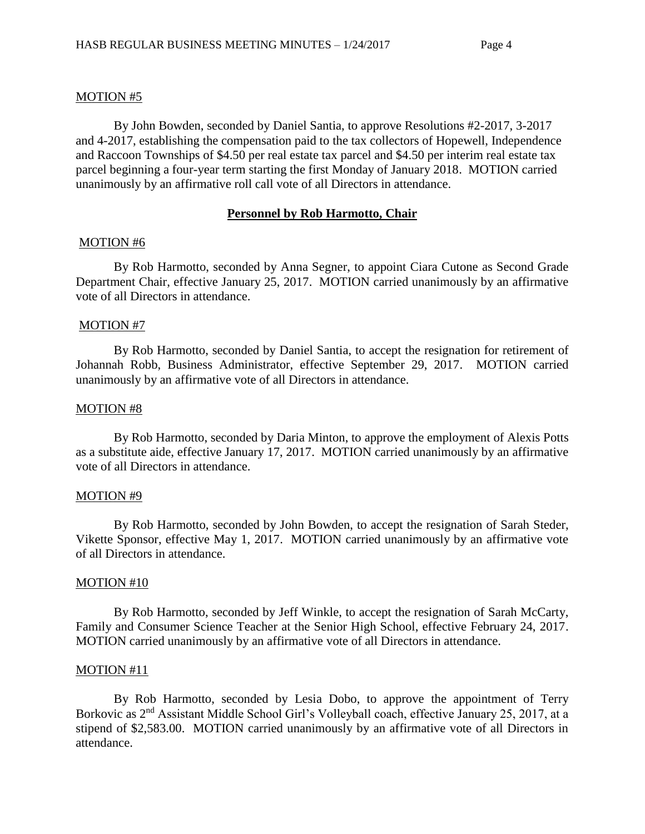### MOTION #5

By John Bowden, seconded by Daniel Santia, to approve Resolutions #2-2017, 3-2017 and 4-2017, establishing the compensation paid to the tax collectors of Hopewell, Independence and Raccoon Townships of \$4.50 per real estate tax parcel and \$4.50 per interim real estate tax parcel beginning a four-year term starting the first Monday of January 2018. MOTION carried unanimously by an affirmative roll call vote of all Directors in attendance.

### **Personnel by Rob Harmotto, Chair**

#### MOTION #6

By Rob Harmotto, seconded by Anna Segner, to appoint Ciara Cutone as Second Grade Department Chair, effective January 25, 2017. MOTION carried unanimously by an affirmative vote of all Directors in attendance.

### MOTION #7

By Rob Harmotto, seconded by Daniel Santia, to accept the resignation for retirement of Johannah Robb, Business Administrator, effective September 29, 2017. MOTION carried unanimously by an affirmative vote of all Directors in attendance.

### MOTION #8

By Rob Harmotto, seconded by Daria Minton, to approve the employment of Alexis Potts as a substitute aide, effective January 17, 2017. MOTION carried unanimously by an affirmative vote of all Directors in attendance.

#### MOTION #9

By Rob Harmotto, seconded by John Bowden, to accept the resignation of Sarah Steder, Vikette Sponsor, effective May 1, 2017. MOTION carried unanimously by an affirmative vote of all Directors in attendance.

#### MOTION #10

By Rob Harmotto, seconded by Jeff Winkle, to accept the resignation of Sarah McCarty, Family and Consumer Science Teacher at the Senior High School, effective February 24, 2017. MOTION carried unanimously by an affirmative vote of all Directors in attendance.

#### MOTION #11

By Rob Harmotto, seconded by Lesia Dobo, to approve the appointment of Terry Borkovic as 2<sup>nd</sup> Assistant Middle School Girl's Volleyball coach, effective January 25, 2017, at a stipend of \$2,583.00. MOTION carried unanimously by an affirmative vote of all Directors in attendance.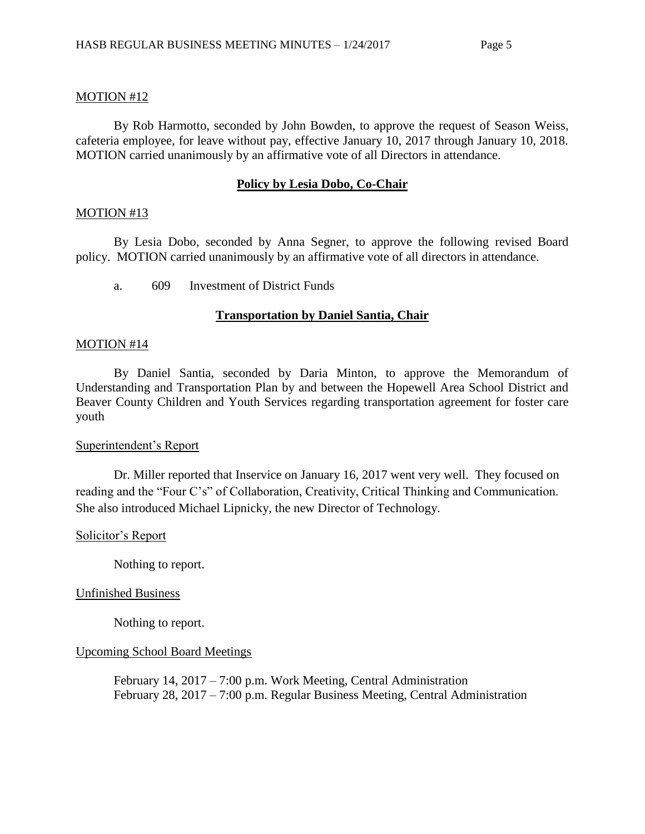# MOTION #12

By Rob Harmotto, seconded by John Bowden, to approve the request of Season Weiss, cafeteria employee, for leave without pay, effective January 10, 2017 through January 10, 2018. MOTION carried unanimously by an affirmative vote of all Directors in attendance.

# **Policy by Lesia Dobo, Co-Chair**

### MOTION #13

By Lesia Dobo, seconded by Anna Segner, to approve the following revised Board policy. MOTION carried unanimously by an affirmative vote of all directors in attendance.

a. 609 Investment of District Funds

# **Transportation by Daniel Santia, Chair**

### MOTION #14

By Daniel Santia, seconded by Daria Minton, to approve the Memorandum of Understanding and Transportation Plan by and between the Hopewell Area School District and Beaver County Children and Youth Services regarding transportation agreement for foster care youth

# Superintendent's Report

Dr. Miller reported that Inservice on January 16, 2017 went very well. They focused on reading and the "Four C's" of Collaboration, Creativity, Critical Thinking and Communication. She also introduced Michael Lipnicky, the new Director of Technology.

# Solicitor's Report

Nothing to report.

# Unfinished Business

Nothing to report.

# Upcoming School Board Meetings

February 14, 2017 – 7:00 p.m. Work Meeting, Central Administration February 28, 2017 – 7:00 p.m. Regular Business Meeting, Central Administration